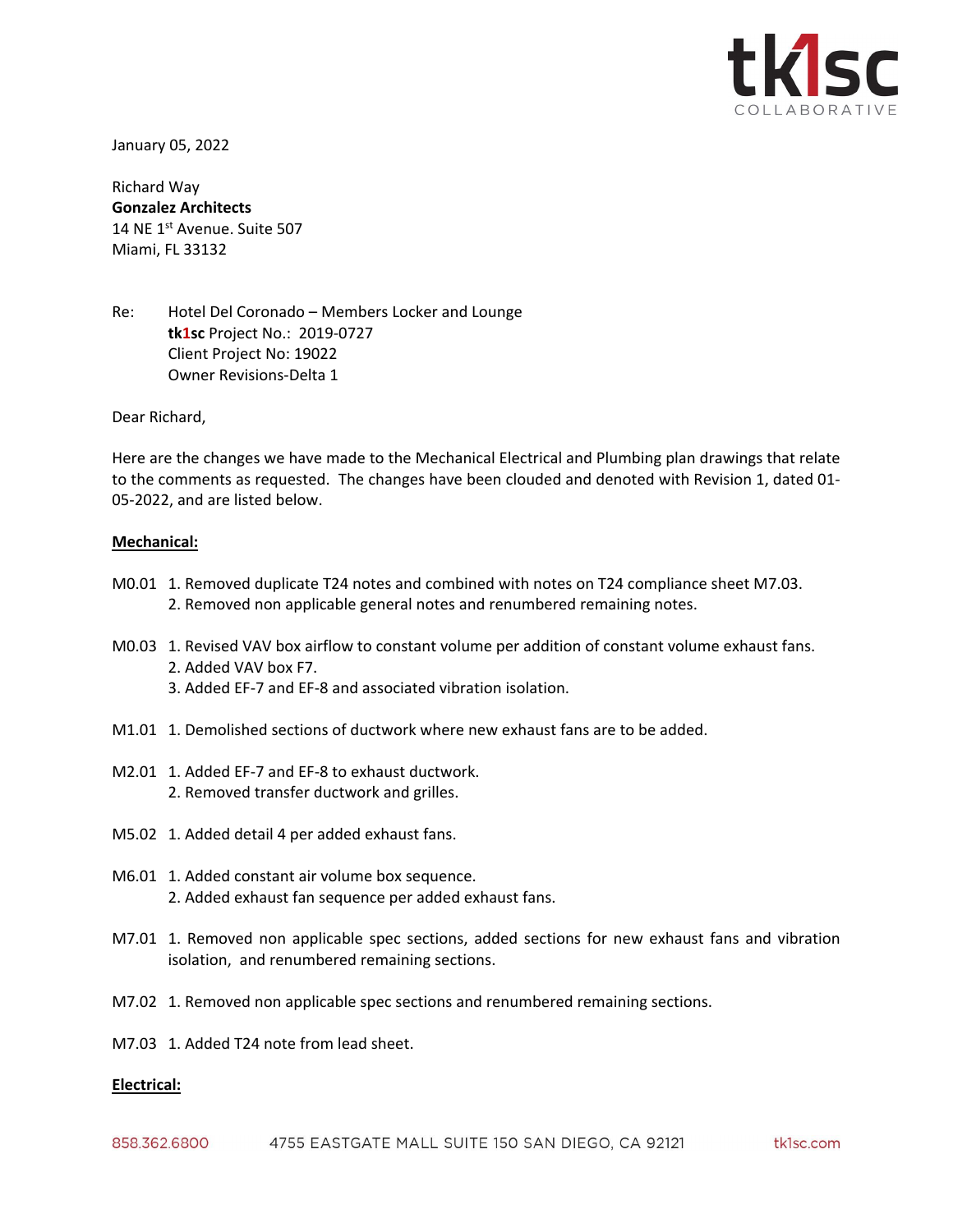

January 05, 2022

Richard Way **Gonzalez Architects** 14 NE 1st Avenue. Suite 507 Miami, FL 33132

Re: Hotel Del Coronado – Members Locker and Lounge **tk1sc** Project No.: 2019-0727 Client Project No: 19022 Owner Revisions-Delta 1

Dear Richard,

Here are the changes we have made to the Mechanical Electrical and Plumbing plan drawings that relate to the comments as requested. The changes have been clouded and denoted with Revision 1, dated 01- 05-2022, and are listed below.

## **Mechanical:**

- M0.01 1. Removed duplicate T24 notes and combined with notes on T24 compliance sheet M7.03. 2. Removed non applicable general notes and renumbered remaining notes.
- M0.03 1. Revised VAV box airflow to constant volume per addition of constant volume exhaust fans. 2. Added VAV box F7.
	- 3. Added EF-7 and EF-8 and associated vibration isolation.
- M1.01 1. Demolished sections of ductwork where new exhaust fans are to be added.
- M2.01 1. Added EF-7 and EF-8 to exhaust ductwork. 2. Removed transfer ductwork and grilles.
- M5.02 1. Added detail 4 per added exhaust fans.
- M6.01 1. Added constant air volume box sequence. 2. Added exhaust fan sequence per added exhaust fans.
- M7.01 1. Removed non applicable spec sections, added sections for new exhaust fans and vibration isolation, and renumbered remaining sections.
- M7.02 1. Removed non applicable spec sections and renumbered remaining sections.
- M7.03 1. Added T24 note from lead sheet.

## **Electrical:**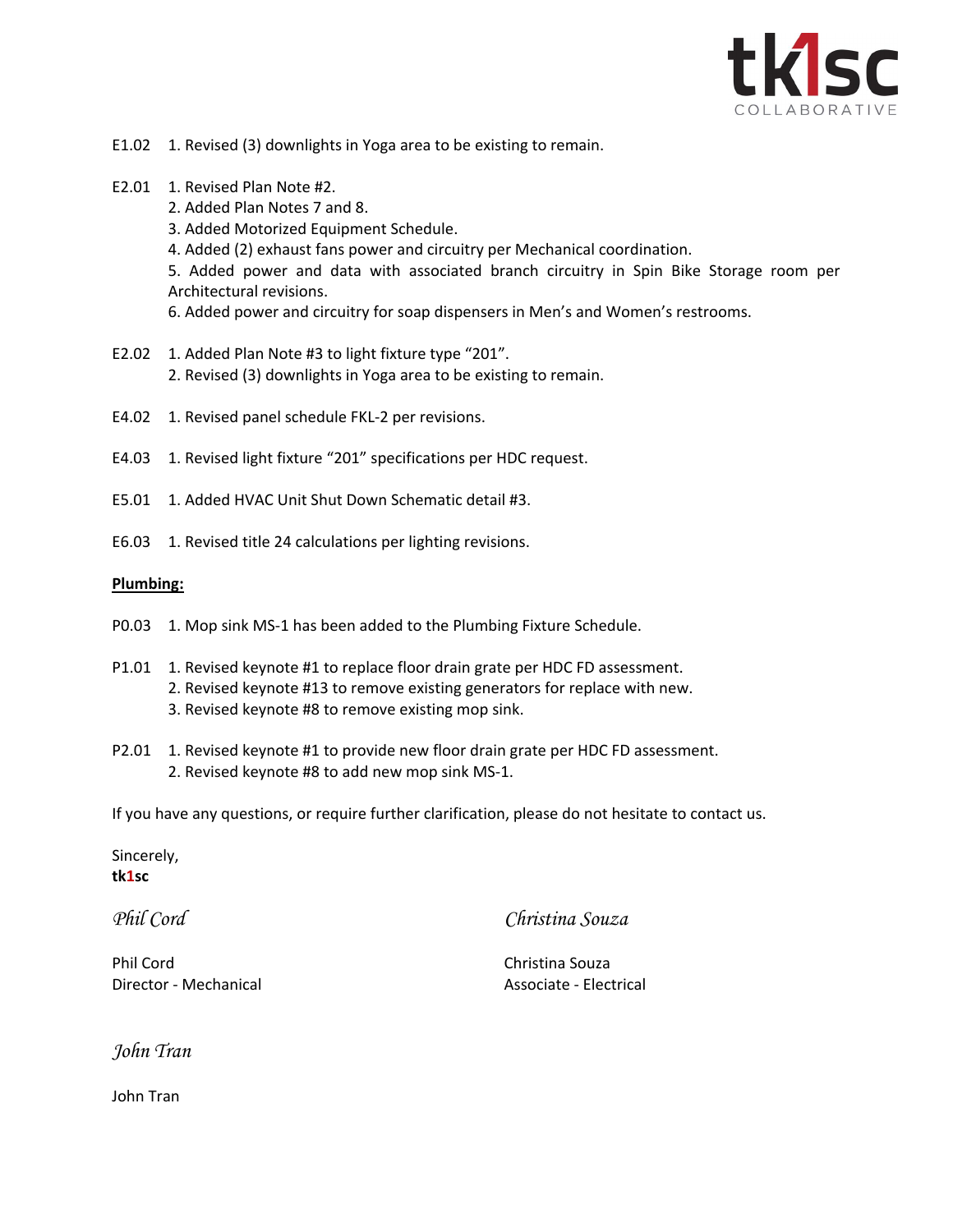

- E1.02 1. Revised (3) downlights in Yoga area to be existing to remain.
- E2.01 1. Revised Plan Note #2.
	- 2. Added Plan Notes 7 and 8.
	- 3. Added Motorized Equipment Schedule.
	- 4. Added (2) exhaust fans power and circuitry per Mechanical coordination.

5. Added power and data with associated branch circuitry in Spin Bike Storage room per Architectural revisions.

- 6. Added power and circuitry for soap dispensers in Men's and Women's restrooms.
- E2.02 1. Added Plan Note #3 to light fixture type "201". 2. Revised (3) downlights in Yoga area to be existing to remain.
- E4.02 1. Revised panel schedule FKL-2 per revisions.
- E4.03 1. Revised light fixture "201" specifications per HDC request.
- E5.01 1. Added HVAC Unit Shut Down Schematic detail #3.
- E6.03 1. Revised title 24 calculations per lighting revisions.

## **Plumbing:**

- P0.03 1. Mop sink MS-1 has been added to the Plumbing Fixture Schedule.
- P1.01 1. Revised keynote #1 to replace floor drain grate per HDC FD assessment. 2. Revised keynote #13 to remove existing generators for replace with new. 3. Revised keynote #8 to remove existing mop sink.
- P2.01 1. Revised keynote #1 to provide new floor drain grate per HDC FD assessment. 2. Revised keynote #8 to add new mop sink MS-1.

If you have any questions, or require further clarification, please do not hesitate to contact us.

Sincerely, **tk1sc**

*Phil Cord*

*Christina Souza*

Phil Cord Director - Mechanical

Christina Souza Associate - Electrical

*John Tran*

John Tran